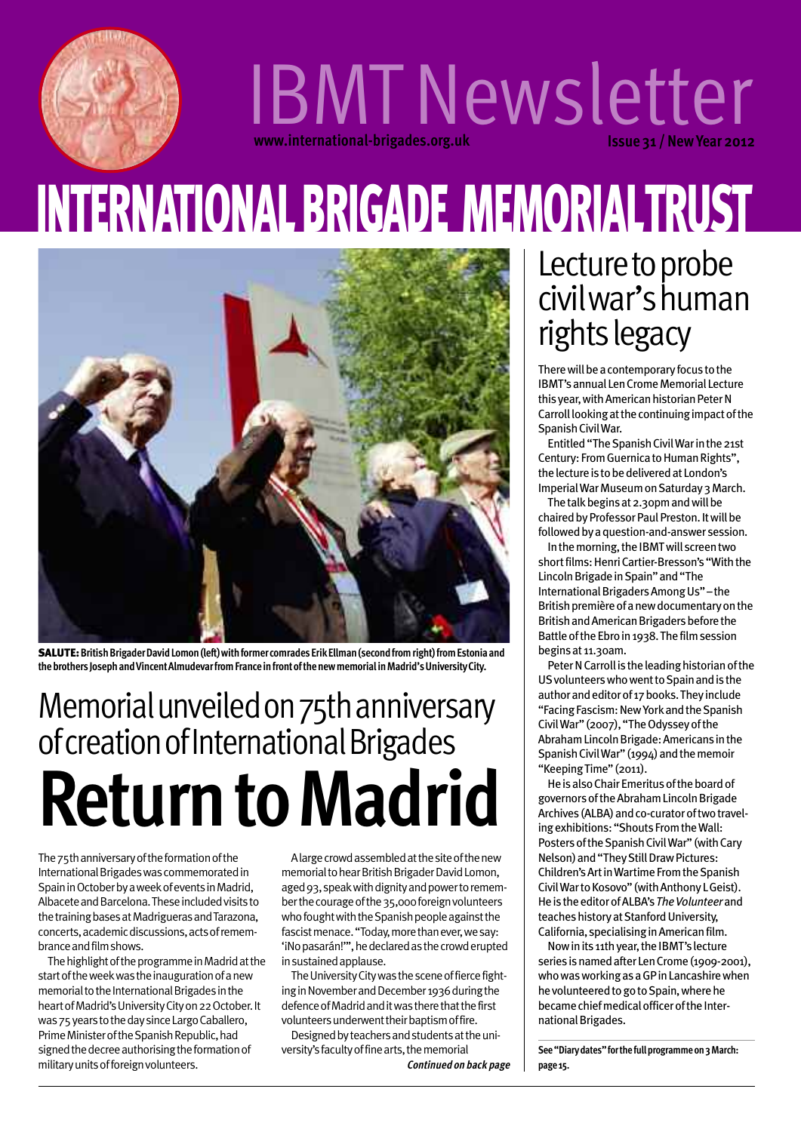

## **www.international-brigades.org.uk Issue 31 / NewYear 2012** IBMTNewsletter

## **INTERNATIONAL BRIGADE MEMORIALTRUST**



**SALUTE:** British Brigader David Lomon (left) with former comrades Erik Ellman (second from right) from Estonia and the brothers Joseph and Vincent Almudevar from France in front of the new memorial in Madrid's University City.

## **ReturntoMadrid** Memorial unveiled on 75th anniversary ofcreationofInternationalBrigades

The 75th anniversary of the formation of the InternationalBrigadeswascommemoratedin SpaininOctoberbyaweekofeventsinMadrid, Albacete and Barcelona. These included visits to the training bases at Madrigueras and Tarazona, concerts,academicdiscussions,actsofremembrance and film shows.

The highlight of the programme in Madrid at the start of the week was the inauguration of a new memorial to the International Brigades in the heart of Madrid's University City on 22 October. It was 75 years to the day since Largo Caballero, Prime Minister of the Spanish Republic, had signed the decree authorising the formation of militaryunitsofforeignvolunteers.

A large crowd assembled at the site of the new memorial to hear British Brigader David Lomon, aged 93, speak with dignity and power to rememberthe courage of the 35,000 foreign volunteers who fought with the Spanish people against the fascist menace. "Today, more than ever, we say: 'iNo pasarán!"', he declared as the crowd erupted in sustained applause.

The University City was the scene of fierce fighting in November and December 1936 during the defence of Madrid and it was there that the first volunteers underwent their baptism of fire.

Designed by teachers and students at the university's faculty of fine arts, the memorial

**Continued on back page**

## Lecture to probe civilwar'shuman rights legacy

There will be a contemporary focus to the IBMT's annual Len Crome Memorial Lecture this year, with American historian Peter N Carroll looking at the continuing impact of the Spanish Civil War.

Entitled "The Spanish Civil War in the 21st Century: From Guernica to Human Rights", the lecture is to be delivered at London's Imperial War Museum on Saturday 3 March.

The talk begins at 2.30pm and will be chaired by Professor Paul Preston. It will be followed by a question-and-answer session.

In the morning, the IBMT will screen two short films: Henri Cartier-Bresson's "With the Lincoln Brigade in Spain" and "The International Brigaders Among Us"-the British première of a new documentary on the British and American Brigaders before the Battle of the Ebro in 1938. The film session beginsat 11.30am.

Peter N Carroll is the leading historian of the US volunteers who went to Spain and is the author and editor of 17 books. They include "Facing Fascism: New York and the Spanish Civil War" (2007), "The Odyssey of the AbrahamLincolnBrigade:Americans inthe Spanish Civil War" (1994) and the memoir "Keeping Time" (2011).

He is also Chair Emeritus of the board of governorsoftheAbrahamLincolnBrigade Archives (ALBA) and co-curator of two traveling exhibitions: "Shouts From the Wall: Posters of the Spanish Civil War" (with Cary Nelson) and "They Still Draw Pictures: Children's Art in Wartime From the Spanish Civil Warto Kosovo" (with Anthony L Geist). Heis theeditorofALBA's*TheVolunteer*and teaches history at Stanford University, California, specialising in American film.

Now in its 11th year, the IBMT's lecture series is named after Len Crome (1909-2001), who was working as a GP in Lancashire when he volunteered to go to Spain, where he became chief medical officer of the International Brigades.

See "Diary dates" for the full programme on 3 March: **page15.**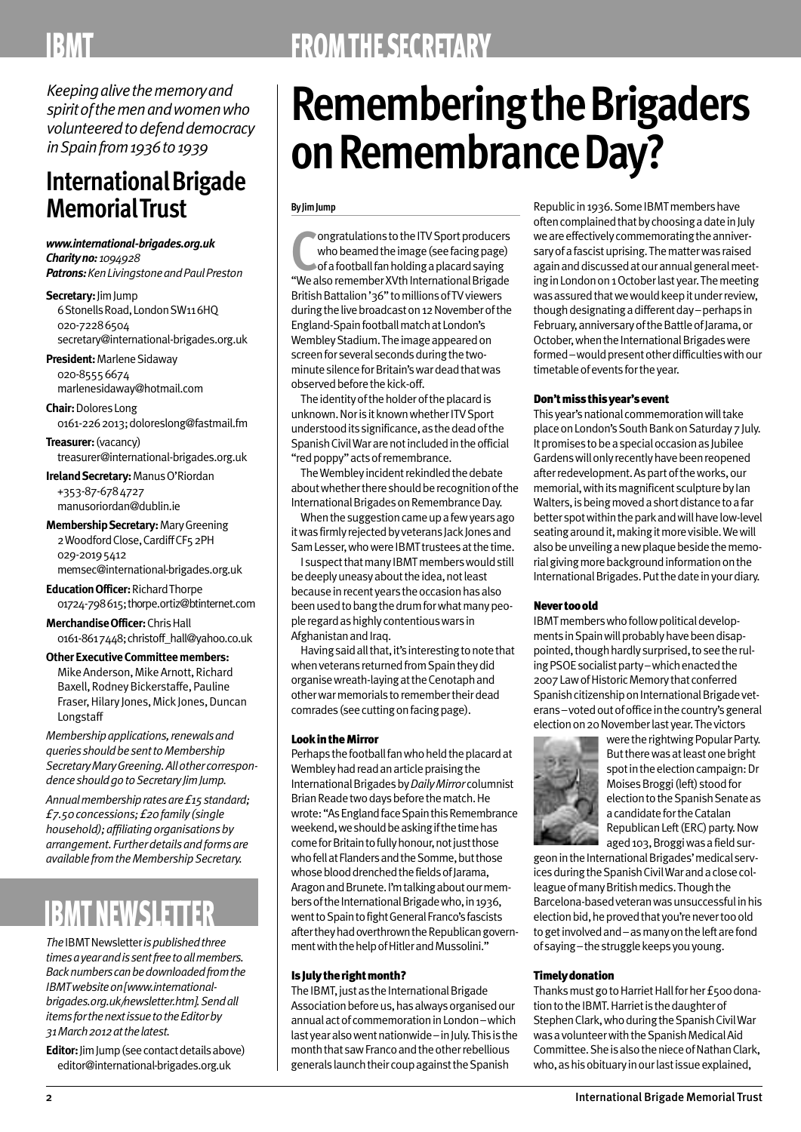*Keepingalivethememoryand spiritofthemenandwomenwho volunteeredtodefenddemocracy inSpainfrom1936to1939*

### **InternationalBrigade MemorialTrust**

*www.international-brigades.org.uk Charityno:1094928*

**Patrons:** Ken Livingstone and Paul Preston

**Secretary:** Jim Jump 6 Stonells Road, London SW116HQ 020-72286504 secretary@international-brigades.org.uk

**President: Marlene Sidaway** 020-85556674 marlenesidaway@hotmail.com

**Chair:**DoloresLong 0161-2262013;doloreslong@fastmail.fm

**Treasurer:**(vacancy) treasurer@international-brigades.org.uk

**Ireland Secretary: Manus O'Riordan** +353-87-6784727

manusoriordan@dublin.ie

**MembershipSecretary:**MaryGreening 2 Woodford Close, Cardiff CF5 2PH 029-20195412 memsec@international-brigades.org.uk

**EducationOfficer:**RichardThorpe 01724-798615;thorpe.ortiz@btinternet.com

**MerchandiseOfficer:**ChrisHall 0161-8617448;christoff\_hall@yahoo.co.uk

**OtherExecutiveCommitteemembers:** Mike Anderson, Mike Arnott, Richard Baxell, Rodney Bickerstaffe, Pauline Fraser, Hilary Jones, Mick Jones, Duncan Longstaff

*Membershipapplications,renewalsand queriesshouldbesenttoMembership SecretaryMaryGreening.AllothercorrespondenceshouldgotoSecretaryJimJump.*

*Annualmembershipratesare£15standard; £7.50concessions;£20family(single household);affiliatingorganisationsby arrangement. Furtherdetailsandformsare availablefromtheMembershipSecretary.*

## **IBMTNEWSLETTER**

*The*IBMTNewsletter*ispublishedthree timesayearandissentfreetoallmembers. Backnumberscanbedownloadedfromthe IBMTwebsiteon[www.internationalbrigades.org.uk/newsletter.htm].Sendall itemsforthenextissuetotheEditorby 31March2012atthelatest.*

**Editor:** Jim Jump (see contact details above) editor@international-brigades.org.uk

## **FROM THE SECRETARY**

## **RememberingtheBrigaders onRemembranceDay?**

#### **ByJimJump**

**C** "WealsorememberXVthInternationalBrigade ongratulations to the ITV Sport producers who beamed the image (see facing page) ofafootballfanholdingaplacardsaying British Battalion'36" to millions of TV viewers during the live broadcast on 12 November of the England-SpainfootballmatchatLondon's Wembley Stadium. The image appeared on screen for several seconds during the twominute silence for Britain's war dead that was observed before the kick-off.

The identity of the holder of the placard is unknown. Nor is it known whether ITV Sport understood its significance, as the dead of the Spanish Civil War are not included in the official "red poppy" acts of remembrance.

The Wembley incident rekindled the debate about whether there should be recognition of the International Brigades on Remembrance Day.

When the suggestion came up a few years ago it was firmly rejected by veterans Jack Jones and Sam Lesser, who were IBMT trustees at the time.

I suspect that many IBMT members would still be deeply uneasy about the idea, not least because in recent years the occasion has also been used to bang the drum for what many people regard as highly contentious wars in Afghanistan and Iraq.

Having said all that, it's interesting to note that when veterans returned from Spain they did organisewreath-layingattheCenotaphand otherwarmemorialstoremembertheirdead comrades (see cutting on facing page).

#### **LookintheMirror**

Perhaps the football fan who held the placard at Wembley had read an article praising the InternationalBrigadesby*DailyMirror*columnist Brian Reade two days before the match. He wrote: "As England face Spain this Remembrance weekend, we should be asking if the time has come for Britain to fully honour, not just those who fell at Flanders and the Somme, but those whose blood drenched the fields of Jarama. Aragon and Brunete. I'm talking about our members of the International Brigade who, in 1936, went to Spain to fight General Franco's fascists after they had overthrown the Republican government with the help of Hitler and Mussolini."

#### **Is July the right month?**

The IBMT, just as the International Brigade Association before us, has always organised our annualactofcommemorationinLondon–which last year also went nationwide–in July. This is the month that saw Franco and the other rebellious generalslaunchtheircoupagainsttheSpanish

Republic in 1936. Some IBMT members have often complained that by choosing a date in July we are effectively commemorating the anniversary of a fascist uprising. The matter was raised again and discussed at our annual general meeting in London on 1 October last year. The meeting was assured that we would keep it under review, though designating a different day–perhaps in February, anniversary of the Battle of Jarama, or October, when the International Brigades were formed-would present other difficulties with our timetable of events for the year.

#### **Don'tmissthisyear'sevent**

This year's national commemoration will take place on London's South Bank on Saturday 7 July. ItpromisestobeaspecialoccasionasJubilee Gardens will only recently have been reopened after redevelopment. As part of the works, our memorial, with its magnificent sculpture by lan Walters, is being moved a short distance to a far better spot within the park and will have low-level seating around it, making it more visible. We will also be unveiling a new plaque beside the memorial giving more background information on the International Brigades. Put the date in your diary.

#### **Nevertooold**

IBMT members who follow political developments in Spain will probably have been disappointed, though hardly surprised, to see the ruling PSOE socialist party–which enacted the 2007LawofHistoricMemorythatconferred Spanish citizenship on International Brigade veterans-voted out of office in the country's general election on 20 November last year. The victors



were the rightwing Popular Party. But there was at least one bright spot in the election campaign: Dr Moises Broggi (left) stood for election to the Spanish Senate as a candidate for the Catalan Republican Left (ERC) party. Now aged 103, Broggi was a field sur-

geon in the International Brigades' medical services during the Spanish Civil War and a close colleagueofmanyBritishmedics.Thoughthe Barcelona-based veteran was unsuccessful in his election bid, he proved that you're never too old to get involved and – as many on the left are fond ofsaying–thestrugglekeepsyouyoung.

#### **Timelydonation**

Thanks must go to Harriet Hall for her £500 donation to the IBMT. Harriet is the daughter of Stephen Clark, who during the Spanish Civil War was a volunteer with the Spanish Medical Aid Committee. She is also the niece of Nathan Clark, who, as his obituary in our last issue explained,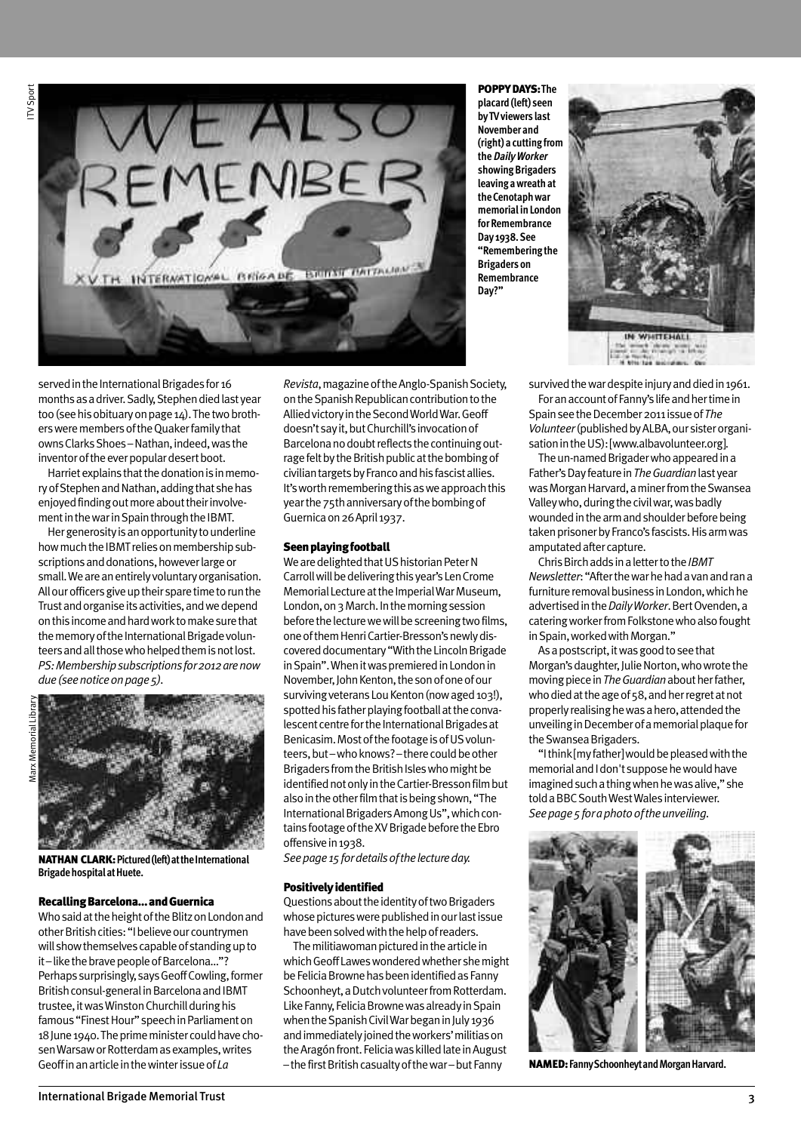



**POPPYDAYS:The placard (left) seen byTVviewers last Novemberand (right) a cutting from theDailyWorker** showing Brigaders **leaving awreathat theCenotaphwar memorialinLondon for Remembrance Day 1938.See "Remembering the Brigaders on Remembrance Day?"**



served in the International Brigades for 16 months as a driver. Sadly, Stephen died last year too (see his obituary on page 14). The two brothersweremembersoftheQuakerfamilythat owns Clarks Shoes-Nathan, indeed, was the inventor of the ever popular desert boot.

Harriet explains that the donation is in memory of Stephen and Nathan, adding that she has enjoyed finding out more about their involvement in the war in Spain through the IBMT.

Her generosity is an opportunity to underline how much the IBMT relies on membership subscriptions and donations, however large or small. We are an entirely voluntary organisation. All our officers give up their spare time to run the Trustandorganiseitsactivities,andwedepend onthisincomeandhardworktomakesurethat the memory of the International Brigade volunteers and all those who helped them is not lost. *PS:Membershipsubscriptionsfor2012arenow due(seenoticeonpage5).*



**NATHAN CLARK: Pictured (left) at the International BrigadehospitalatHuete.**

#### **RecallingBarcelona…andGuernica**

Who said at the height of the Blitz on London and other British cities: "I believe our countrymen will show themselves capable of standing up to it-like the brave people of Barcelona..."? Perhaps surprisingly, says Geoff Cowling, former British consul-general in Barcelona and IBMT trustee, it was Winston Churchill during his famous "Finest Hour" speech in Parliament on 18 June 1940. The prime minister could have chosenWarsaworRotterdamasexamples,writes Geoffinanarticleinthewinterissueof*La*

*Revista*, magazine of the Anglo-Spanish Society, on the Spanish Republican contribution to the AlliedvictoryintheSecondWorldWar.Geoff doesn't say it, but Churchill's invocation of Barcelona no doubt reflects the continuing outrage felt by the British public at the bombing of civilian targets by Franco and his fascist allies. It's worth remembering this as we approach this year the 75th anniversary of the bombing of Guernicaon26April 1937.

#### **Seen playing football**

We are delighted that US historian Peter N Carroll will be delivering this year's Len Crome Memorial Lecture at the Imperial War Museum, London, on 3 March. In the morning session before the lecture we will be screening two films, one of them Henri Cartier-Bresson's newly discovered documentary "With the Lincoln Brigade in Spain". When it was premiered in London in November, John Kenton, the son of one of our surviving veterans Lou Kenton (now aged 103!). spotted his father playing football at the convalescent centre for the International Brigades at Benicasim. Most of the footage is of US volunteers, but-who knows?-there could be other Brigaders from the British Isles who might be identified not only in the Cartier-Bresson film but also in the other film that is being shown, "The International Brigaders Among Us", which contains footage of the XV Brigade before the Ebro offensive in 1938.

*Seepage15fordetailsofthelectureday.*

#### **Positivelyidentified**

Questions about the identity of two Brigaders whose pictures were published in our last issue have been solved with the help of readers.

The militiawoman pictured in the article in whichGeoffLaweswonderedwhethershemight be Felicia Browne has been identified as Fanny Schoonheyt, a Dutch volunteer from Rotterdam. Like Fanny, Felicia Browne was already in Spain when the Spanish Civil War began in July 1936 and immediately joined the workers' militias on the Aragón front. Felicia was killed late in August – the first British casualty of the war–but Fanny

survived the war despite injury and died in 1961. For an account of Fanny's life and her time in

Spain see the December 2011 issue of The *Volunteer* (published by ALBA, our sister organisation in the US): [www.albavolunteer.org].

The un-named Brigader who appeared in a Father'sDayfeaturein*TheGuardian*lastyear was Morgan Harvard, a miner from the Swansea Valley who, during the civil war, was badly wounded in the arm and shoulder before being taken prisoner by Franco's fascists. His arm was amputated after capture.

ChrisBirchaddsinalettertothe*IBMT Newsletter*: "After the war he had a van and ran a furniture removal business in London, which he advertisedinthe*DailyWorker*.BertOvenden,a cateringworkerfromFolkstonewhoalsofought in Spain, worked with Morgan."

As a postscript, it was good to see that Morgan's daughter, Julie Norton, who wrote the moving piece in *The Guardian* about her father, who died at the age of 58, and her regret at not properly realising he was a hero, attended the unveiling in December of a memorial plaque for the Swansea Brigaders.

"I think [my father] would be pleased with the memorial and I don't suppose he would have imagined such a thing when he was alive," she told a BBC South West Wales interviewer. *Seepage5foraphotooftheunveiling.*



**NAMED:** Fanny Schoonheyt and Morgan Harvard.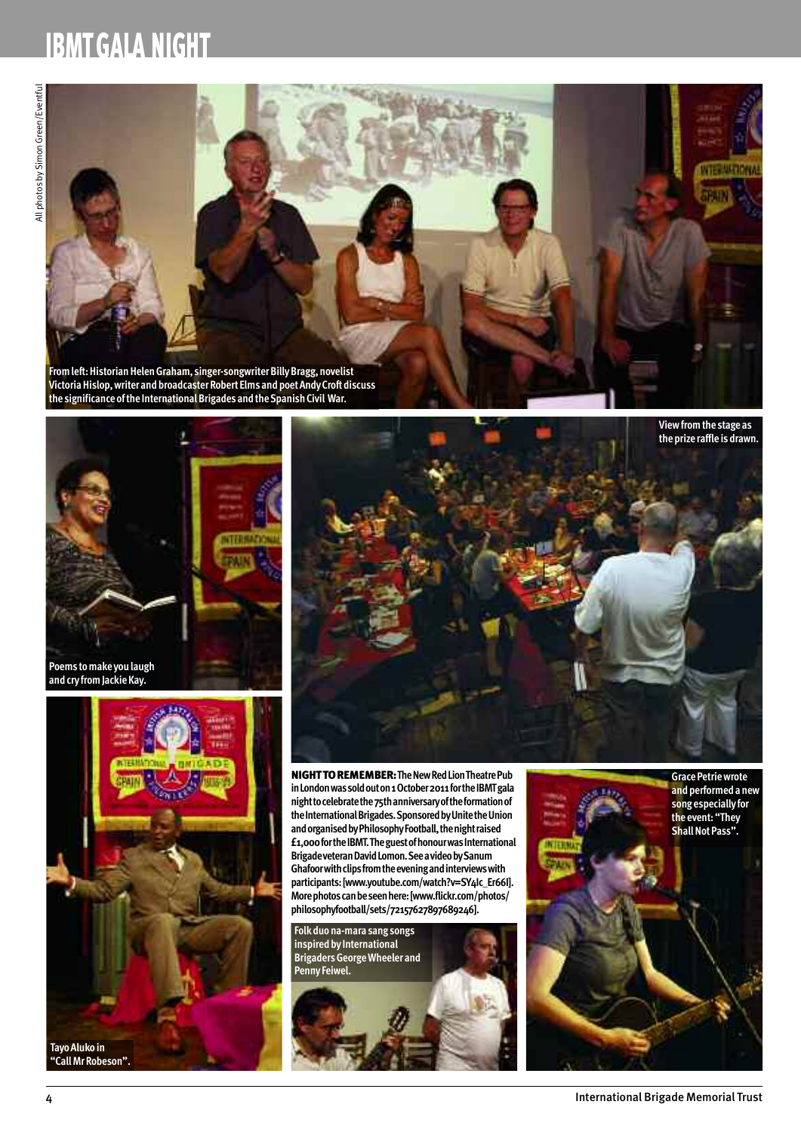## **IBMTGALA NIGHT**









**NIGHTTOREMEMBER:TheNewRedLionTheatrePub inLondonwassoldouton1October2011fortheIBMTgala nighttocelebratethe75thanniversaryoftheformationof theInternationalBrigades.SponsoredbyUnitetheUnion andorganisedbyPhilosophyFootball,thenightraised £1,000fortheIBMT.TheguestofhonourwasInternational BrigadeveteranDavidLomon.SeeavideobySanum Ghafoor with clips from the evening and interviews with participants:[www.youtube.com/watch?v=SY4Ic\_Er66I]. Morephotoscanbeseenhere:[www.flickr.com/photos/ philosophyfootball/sets/72157627897689246].**

**Folkduona-mara sang songs inspired by International BrigadersGeorgeWheelerand Penny Feiwel.**



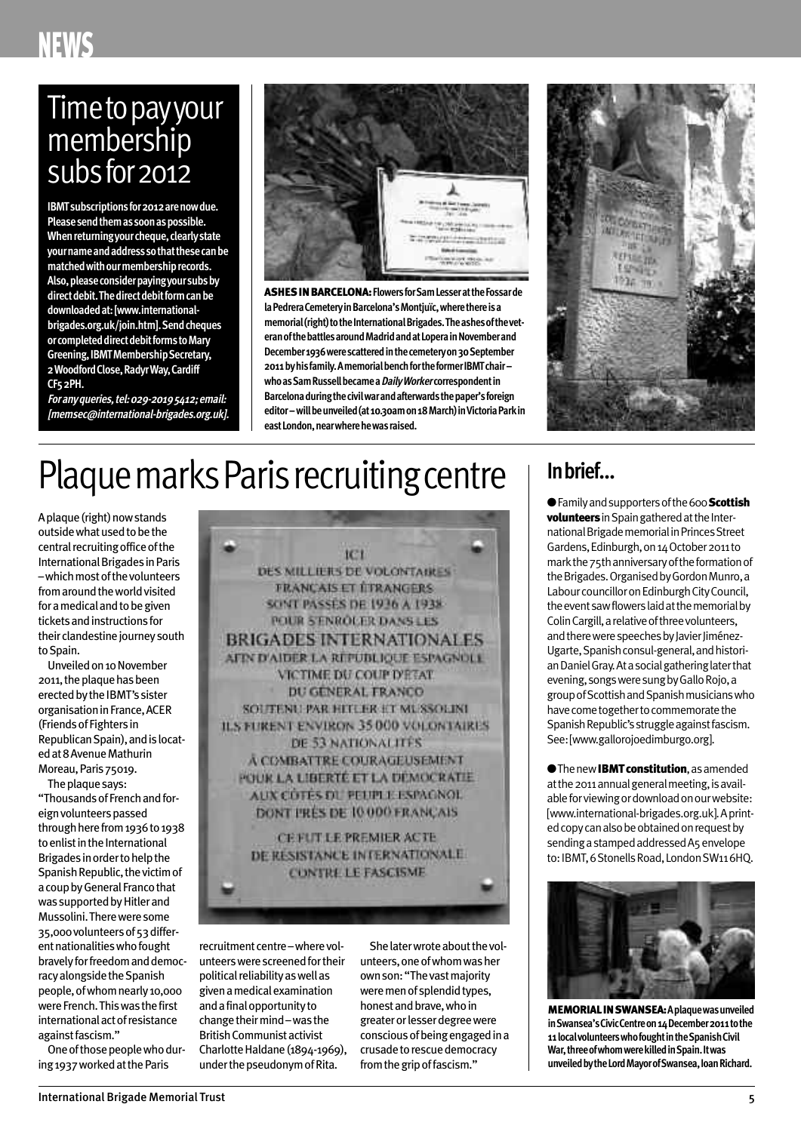## NEWS

# Time to pay your<br>membership<br>subs for 2012

IBMT subscriptions for 2012 are now due. Please send them as soon as possible. When returning your cheque, clearly state your name and address so that these can be matched with our membership records. Also, please consider paying your subs by<br>direct debit. The direct debit form can be downloaded at: [www.internationalbrigades.org.uk/join.htm]. Send cheques or completed direct debit forms to Mary Greening, IBMT Membership Secretary, 2 Woodford Close, Radyr Way, Cardiff CF5 2PH.

For any queries, tel: 029-2019 5412; email: [memsec@international-brigades.org.uk].



ASHES IN BARCELONA: Flowers for Sam Lesser at the Fossar de la Pedrera Cemetery in Barcelona's Montjuïc, where there is a memorial (right) to the International Brigades. The ashes of the veteran of the battles around Madrid and at Lopera in November and December 1936 were scattered in the cemetery on 30 September 2011 by his family. A memorial bench for the former IBMT chairwho as Sam Russell became a *Daily Worker* correspondent in Barcelona during the civil war and afterwards the paper's foreign editor-will be unveiled (at 10.30am on 18 March) in Victoria Park in east London, near where he was raised.



## Plaque marks Paris recruiting centre

A plaque (right) now stands outside what used to be the central recruiting office of the International Brigades in Paris -which most of the volunteers from around the world visited for a medical and to be given tickets and instructions for their clandestine journey south to Spain.

Unveiled on 10 November 2011, the plaque has been erected by the IBMT's sister organisation in France, ACER (Friends of Fighters in Republican Spain), and is located at 8 Avenue Mathurin Moreau, Paris 75019.

The plaque says: "Thousands of French and foreign volunteers passed through here from 1936 to 1938 to enlist in the International Brigades in order to help the Spanish Republic, the victim of a coup by General Franco that was supported by Hitler and Mussolini. There were some 35,000 volunteers of 53 different nationalities who fought bravely for freedom and democracy alongside the Spanish people, of whom nearly 10,000 were French. This was the first international act of resistance against fascism."

One of those people who during 1937 worked at the Paris

 $1C1$ **DES MILLIERS DE VOLONTAIRES** FRANCAIS ET ÍTRANGERS SONT PASSES DE 1936 A 1938 **POUR S'ENROLER DANS LES BRIGADES INTERNATIONALES** AFIN D'AIDER LA RÉPUBLIQUE ESPAGNOLI **VICTIME DU COUP D'ETAT DU GENERAL FRANCO** SOUTENU PAR HITLER ET MUSSOLINI **ILS FURENT ENVIRON 35 000 VOLONTAIRES** DE 53 NATIONALITES A COMBATTRE COURAGEUSEMENT **POUR LA LIBERTÉ ET LA DÉMOCRATIE** AUX CÔTÉS DU PEUPLE ESPAGNOL DONT PRES DE 10 000 FRANÇAIS

**CEFUT LE PREMIER ACTE** DE RESISTANCE INTERNATIONALE **CONTRE LE FASCISME** 

recruitment centre-where volunteers were screened for their political reliability as well as given a medical examination and a final opportunity to change their mind - was the **British Communist activist** Charlotte Haldane (1894-1969), under the pseudonym of Rita.

She later wrote about the volunteers, one of whom was her own son: "The vast majority were men of splendid types, honest and brave, who in greater or lesser degree were conscious of being engaged in a crusade to rescue democracy from the grip of fascism."

### In brief...

● Family and supporters of the 600 Scottish volunteers in Spain gathered at the International Brigade memorial in Princes Street Gardens, Edinburgh, on 14 October 2011 to mark the 75th anniversary of the formation of the Brigades. Organised by Gordon Munro, a Labour councillor on Edinburgh City Council, the event saw flowers laid at the memorial by Colin Cargill, a relative of three volunteers, and there were speeches by Javier Jiménez-Ugarte, Spanish consul-general, and historian Daniel Gray. At a social gathering later that evening, songs were sung by Gallo Rojo, a group of Scottish and Spanish musicians who have come together to commemorate the Spanish Republic's struggle against fascism. See: [www.gallorojoedimburgo.org].

**The new IBMT constitution**, as amended at the 2011 annual general meeting, is available for viewing or download on our website: [www.international-brigades.org.uk]. Aprinted copy can also be obtained on request by sending a stamped addressed A5 envelope to: IBMT, 6 Stonells Road, London SW11 6HQ.



**MEMORIAL IN SWANSEA: A plaque was unveiled** in Swansea's Civic Centre on 14 December 2011 to the 11 local volunteers who fought in the Spanish Civil War, three of whom were killed in Spain. It was unveiled by the Lord Mayor of Swansea, Ioan Richard.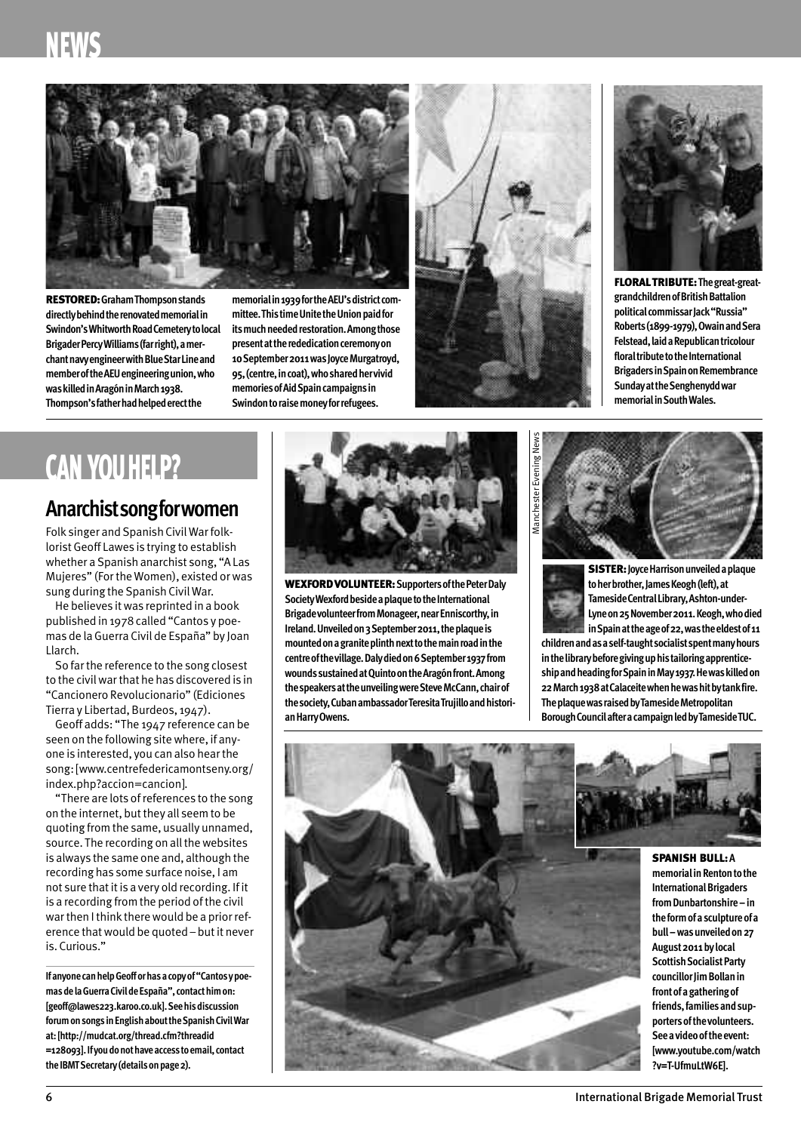

**RESTORED:GrahamThompsonstands directlybehindtherenovatedmemorialin** Swindon's Whitworth Road Cemetery to local **BrigaderPercyWilliams(farright),amerchantnavyengineerwithBlueStarLineand memberoftheAEUengineeringunion,who waskilledinAragóninMarch1938. Thompson'sfatherhadhelpederectthe**

memorial in 1939 for the AEU's district com**mittee.ThistimeUnitetheUnionpaidfor itsmuchneededrestoration.Amongthose presentattherededicationceremonyon 10September2011wasJoyceMurgatroyd, 95,(centre,incoat),whosharedhervivid memoriesofAidSpaincampaignsin Swindon to raise money for refugees.** 





**FLORALTRIBUTE:Thegreat-greatgrandchildrenofBritishBattalion politicalcommissarJack"Russia" Roberts(1899-1979),OwainandSera Felstead, laid a Republican tricolour floraltributetotheInternational BrigadersinSpainonRemembrance SundayattheSenghenyddwar memorialinSouthWales.**

## **CAN YOUHELP?**

#### **Anarchistsongforwomen**

Folk singer and Spanish Civil War folklorist Geoff Lawes is trying to establish whether a Spanish anarchist song, "A Las Mujeres" (FortheWomen), existed orwas sung during the Spanish Civil War.

He believes it was reprinted in a book published in 1978 called "Cantos y poemas de la Guerra Civil de España" by Joan Llarch.

So farthe reference to the song closest to the civilwarthat he has discovered is in "Cancionero Revolucionario" (Ediciones Tierra y Libertad, Burdeos, 1947).

Geoff adds: "The 1947 reference can be seen on the following sitewhere, if anyone is interested, you can also hearthe song: [www.centrefedericamontseny.org/ index.php?accion=cancion].

"There are lots ofreferences to the song on the internet, but they all seem to be quoting from the same, usually unnamed, source. The recording on all the websites is always the same one and, although the recording has some surface noise, I am not sure thatitis a very old recording. If it is a recording from the period ofthe civil war then I think there would be a prior reference that would be quoted - but it never is. Curious."

**IfanyonecanhelpGeofforhasacopyof"CantosypoemasdelaGuerraCivildeEspaña",contacthimon: [geoff@lawes223.karoo.co.uk].Seehisdiscussion forumonsongsinEnglishabouttheSpanishCivilWar at:[http://mudcat.org/thread.cfm?threadid =128093].Ifyoudonothaveaccesstoemail,contact** the **IBMT** Secretary (details on page 2).



**WEXFORDVOLUNTEER:SupportersofthePeterDaly Society Wexford beside a plaque to the International BrigadevolunteerfromMonageer,nearEnniscorthy,in Ireland.Unveiledon3September2011,theplaqueis mountedonagraniteplinthnexttothemainroadinthe centreofthevillage.Dalydiedon6September1937from woundssustainedatQuintoontheAragónfront.Among thespeakersattheunveilingwereSteveMcCann,chairof thesociety,CubanambassadorTeresitaTrujilloandhistorianHarryOwens.**



**SISTER:** Joyce Harrison unveiled a plaque to her brother, lames Keogh (left), at **TamesideCentralLibrary,Ashton-under-**Lyne on 25 November 2011. Keogh, who died **inSpainattheageof22,wastheeldestof11**

**childrenandasaself-taughtsocialistspentmanyhours inthelibrarybeforegivinguphistailoringapprenticeshipandheadingforSpaininMay1937.Hewaskilledon 22March1938atCalaceitewhenhewashitbytankfire. TheplaquewasraisedbyTamesideMetropolitan BoroughCouncilafteracampaignledbyTamesideTUC.**

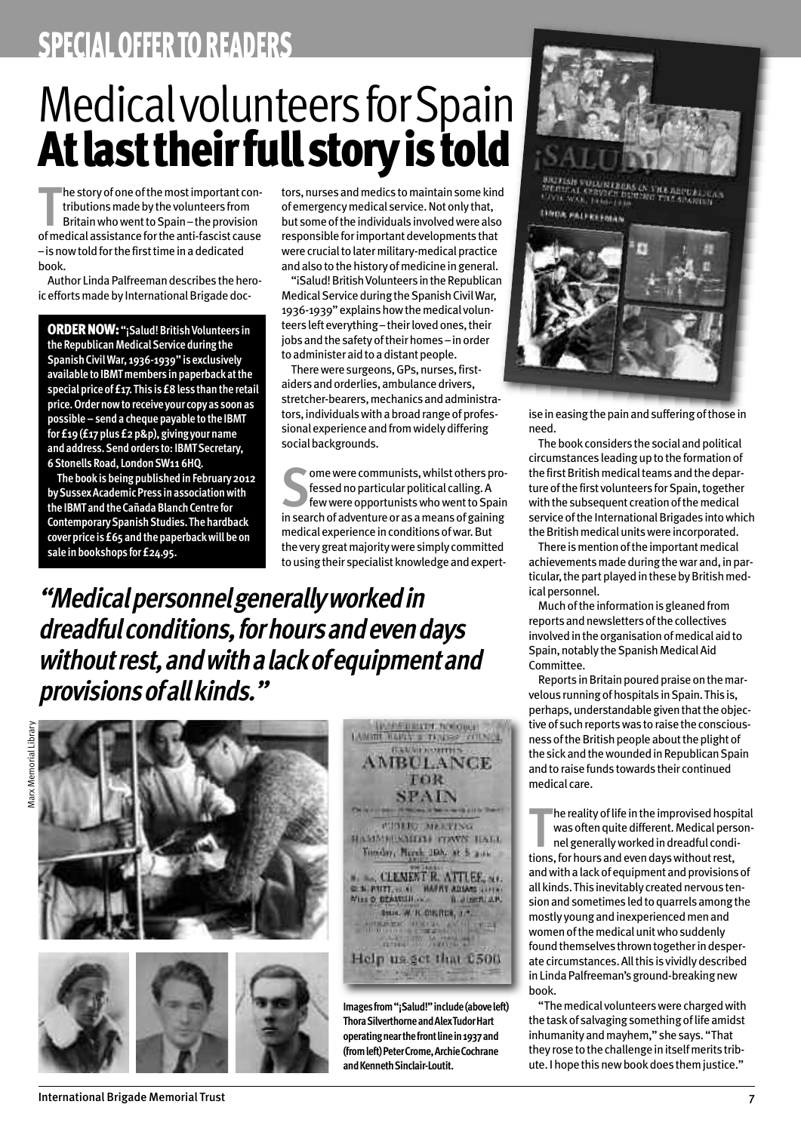## **SPECIAL OFFER TO READERS**

# Medical volunteers for Spain<br>At last their full story is told

The story of one of the most important contributions made by the volunteers from Britain who went to Spain-the provision of medical assistance for the anti-fascist cause  $-$  is now told for the first time in a dedicated hook

Author Linda Palfreeman describes the heroic efforts made by International Brigade doc-

**ORDER NOW: "¡Salud! British Volunteers in** the Republican Medical Service during the Spanish Civil War, 1936-1939" is exclusively available to IBMT members in paperback at the special price of £17. This is £8 less than the retail price. Order now to receive your copy as soon as possible - send a cheque payable to the IBMT for £19 (£17 plus £2 p&p), giving your name and address. Send orders to: IBMT Secretary, 6 Stonells Road, London SW11 6HQ.

The book is being published in February 2012 by Sussex Academic Press in association with the IBMT and the Cañada Blanch Centre for **Contemporary Spanish Studies. The hardback** cover price is £65 and the paperback will be on sale in bookshops for £24.95.

tors, nurses and medics to maintain some kind of emergency medical service. Not only that, but some of the individuals involved were also responsible for important developments that were crucial to later military-medical practice and also to the history of medicine in general.

"iSalud! British Volunteers in the Republican Medical Service during the Spanish Civil War, 1936-1939" explains how the medical volunteers left everything-their loved ones, their jobs and the safety of their homes-in order to administer aid to a distant people.

There were surgeons, GPs, nurses, firstaiders and orderlies, ambulance drivers, stretcher-bearers, mechanics and administrators, individuals with a broad range of professional experience and from widely differing social backgrounds.

ome were communists, whilst others professed no particular political calling. A few were opportunists who went to Spain in search of adventure or as a means of gaining medical experience in conditions of war. But the very great majority were simply committed to using their specialist knowledge and expert-

## "Medical personnel generally worked in dreadful conditions, for hours and even days without rest, and with a lack of equipment and provisions of all kinds."



Images from "¡Salud!" include (above left) Thora Silverthorne and Alex Tudor Hart operating near the front line in 1937 and (from left) Peter Crome, Archie Cochrane and Kenneth Sinclair-Loutit.

**EBRITE NOOL** 

**BAKWERSHITH!** 

**AMBULANCE** 

TOR

**SPAIN** 

PIRITO, MELTING

Tomday, March 19th, at 5 p.m.

**BRUK, W. H. DIRITIER, 1.4.** 

 $\frac{1}{\left(1-\frac{1}{\sqrt{2}}\right)^{1/2}}\left(\frac{1}{\sqrt{2}}\right)^{\frac{1}{2}}$ 

CLENENT R. ATTLEE, at.

**WANTED** 

**RAILY E-TANGE FIRMOL** 



ise in easing the pain and suffering of those in need.

The book considers the social and political circumstances leading up to the formation of the first British medical teams and the departure of the first volunteers for Spain, together with the subsequent creation of the medical service of the International Brigades into which the British medical units were incorporated.

There is mention of the important medical achievements made during the war and, in particular, the part played in these by British medical personnel.

Much of the information is gleaned from reports and newsletters of the collectives involved in the organisation of medical aid to Spain, notably the Spanish Medical Aid Committee.

Reports in Britain poured praise on the marvelous running of hospitals in Spain. This is, perhaps, understandable given that the objective of such reports was to raise the consciousness of the British people about the plight of the sick and the wounded in Republican Spain and to raise funds towards their continued medical care.

The reality of life in the improvised hospital was often quite different. Medical personnel generally worked in dreadful conditions, for hours and even days without rest, and with a lack of equipment and provisions of all kinds. This inevitably created nervous tension and sometimes led to quarrels among the mostly young and inexperienced men and women of the medical unit who suddenly found themselves thrown together in desperate circumstances. All this is vividly described in Linda Palfreeman's ground-breaking new book.

"The medical volunteers were charged with the task of salvaging something of life amidst inhumanity and mayhem," she says. "That they rose to the challenge in itself merits tribute. I hope this new book does them justice."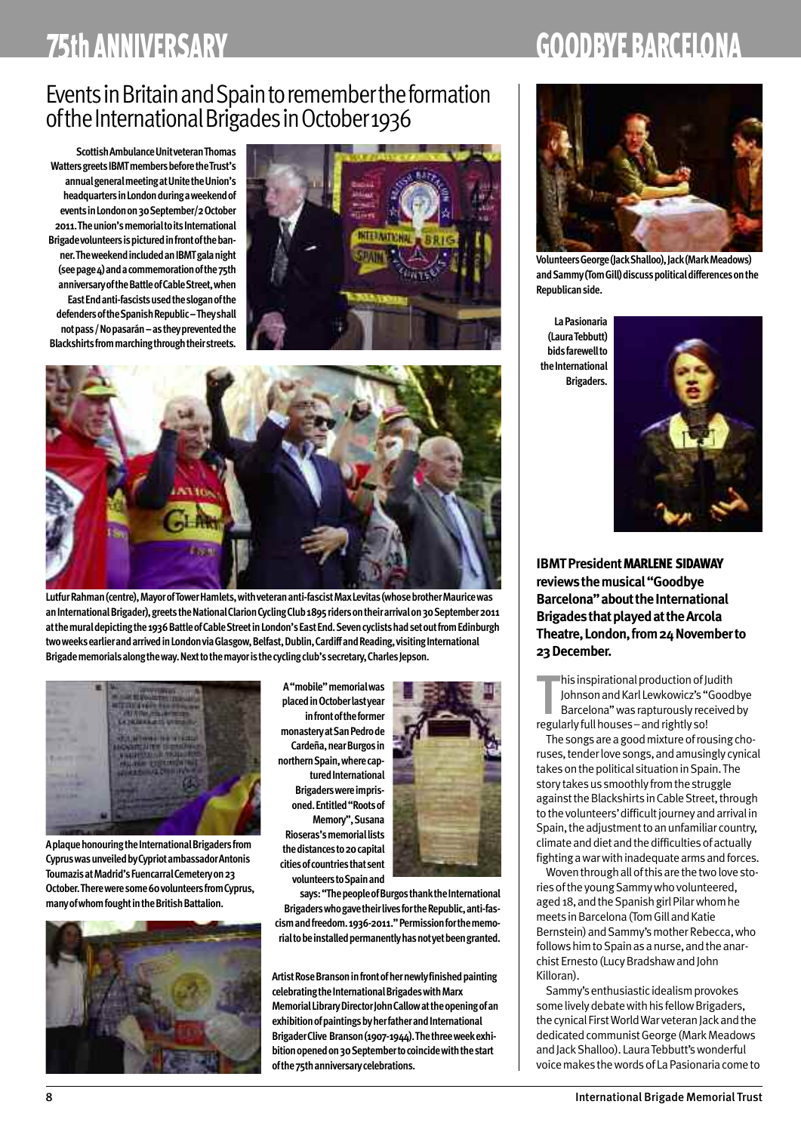## **75thANNIVERSARY GOODBYE BARCELONA**

### Events in Britain and Spain to remember the formation of the International Brigades in October 1936

**ScottishAmbulanceUnitveteranThomas WattersgreetsIBMTmembersbeforetheTrust's annualgeneralmeetingatUnitetheUnion's headquartersinLondonduringaweekendof eventsinLondonon30September/2October 2011.Theunion'smemorialtoitsInternational** Brigade volunteers is pictured in front of the ban**ner.TheweekendincludedanIBMTgalanight (seepage4)andacommemorationofthe75th anniversaryoftheBattleofCableStreet,when EastEndanti-fascistsusedthesloganofthe defendersoftheSpanishRepublic–Theyshall notpass/Nopasarán–astheypreventedthe Blackshirtsfrommarchingthroughtheirstreets.**





**LutfurRahman(centre),MayorofTowerHamlets,withveterananti-fascistMaxLevitas(whosebrotherMauricewas** an International Brigader), greets the National Clarion Cycling Club 1895 riders on their arrival on 30 September 2011 at the mural depicting the 1936 Battle of Cable Street in London's East End. Seven cyclists had set out from Edinburgh **twoweeksearlierandarrivedinLondonviaGlasgow,Belfast,Dublin,CardiffandReading,visitingInternational Brigadememorialsalongtheway.Nexttothemayoristhecyclingclub'ssecretary,CharlesJepson.**

**AplaquehonouringtheInternationalBrigadersfrom CypruswasunveiledbyCypriotambassadorAntonis ToumazisatMadrid'sFuencarralCemeteryon23 October.Thereweresome60volunteersfromCyprus, manyofwhomfoughtintheBritishBattalion.**



**A"mobile"memorialwas placedinOctoberlastyear in front of the former monasteryatSanPedrode Cardeña,nearBurgosin northernSpain,wherecaptured International Brigaderswereimprisoned.Entitled"Rootsof Memory",Susana Rioseras'smemoriallists thedistancesto20capital citiesofcountriesthatsent volunteerstoSpainand**



says: "The people of Burgos thank the International **BrigaderswhogavetheirlivesfortheRepublic,anti-fascismandfreedom.1936-2011."Permissionforthememorialtobeinstalledpermanentlyhasnotyetbeengranted.**

**ArtistRoseBransoninfrontofhernewlyfinishedpainting celebratingtheInternationalBrigadeswithMarx MemorialLibraryDirectorJohnCallowattheopeningofan exhibitionofpaintingsbyherfatherandInternational BrigaderClive Branson(1907-1944).Thethreeweekexhibitionopenedon30Septembertocoincidewiththestart ofthe75thanniversarycelebrations.**



**VolunteersGeorge(JackShalloo),Jack(MarkMeadows)** and Sammy (Tom Gill) discuss political differences on the **Republicanside.**

**LaPasionaria (LauraTebbutt) bidsfarewellto theInternational Brigaders.**



**IBMTPresidentMARLENE SIDAWAY reviewsthemusical"Goodbye Barcelona**" about the International **Brigades that played at the Arcola Theatre,London,from24Novemberto 23December.**

This inspirational production of Johnson and Karl Lewkowicz's<br>"Barcelona" was rapturously receptarly full houses-and rightly so! his inspirational production of Judith Johnson and Karl Lewkowicz's "Goodbye Barcelona" was rapturously received by

The songs are a good mixture of rousing choruses, tender love songs, and amusingly cynical takes on the political situation in Spain. The story takes us smoothly from the struggle against the Blackshirts in Cable Street, through to the volunteers' difficult journey and arrival in Spain, the adjustment to an unfamiliar country, climate and diet and the difficulties of actually fighting a war with inadequate arms and forces.

Woven through all of this are the two love stories of the young Sammy who volunteered, aged 18, and the Spanish girl Pilar whom he meets in Barcelona (Tom Gill and Katie Bernstein) and Sammy's mother Rebecca, who follows him to Spain as a nurse, and the anarchist Ernesto (Lucy Bradshaw and John Killoran).

Sammy'senthusiastic idealismprovokes some lively debate with his fellow Brigaders, the cynical First World War veteran Jack and the dedicated communist George (Mark Meadows and Jack Shalloo). Laura Tebbutt's wonderful voice makes the words of La Pasionaria come to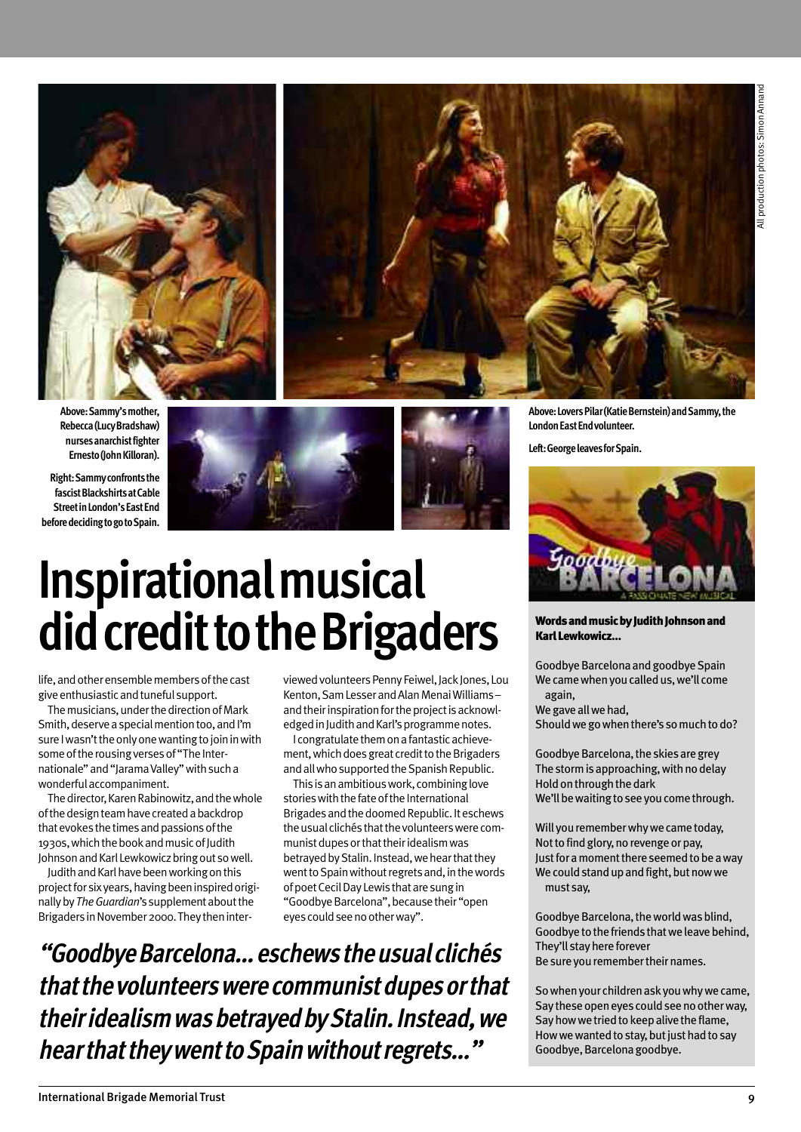



Above: Sammy's mother, Rebecca (Lucy Bradshaw) nurses anarchist fighter Ernesto (John Killoran).

Right: Sammy confronts the fascist Blackshirts at Cable **Street in London's East End** before deciding to go to Spain.



## **Inspirational musical** did credit to the Brigaders

life, and other ensemble members of the cast give enthusiastic and tuneful support.

The musicians, under the direction of Mark Smith, deserve a special mention too, and I'm sure I wasn't the only one wanting to join in with some of the rousing verses of "The Internationale" and "Jarama Valley" with such a wonderful accompaniment.

The director, Karen Rabinowitz, and the whole of the design team have created a backdrop that evokes the times and passions of the 1930s, which the book and music of Judith Johnson and Karl Lewkowicz bring out so well.

Judith and Karl have been working on this project for six years, having been inspired originally by The Guardian's supplement about the Brigaders in November 2000. They then interviewed volunteers Penny Feiwel, Jack Jones, Lou Kenton, Sam Lesser and Alan Menai Williamsand their inspiration for the project is acknowledged in Judith and Karl's programme notes.

I congratulate them on a fantastic achievement, which does great credit to the Brigaders and all who supported the Spanish Republic.

This is an ambitious work, combining love stories with the fate of the International Brigades and the doomed Republic. It eschews the usual clichés that the volunteers were communist dupes or that their idealism was betrayed by Stalin. Instead, we hear that they went to Spain without regrets and, in the words of poet Cecil Day Lewis that are sung in "Goodbye Barcelona", because their "open eyes could see no other way".

"Goodbye Barcelona... eschews the usual clichés that the volunteers were communist dupes or that their idealism was betrayed by Stalin. Instead, we hear that they went to Spain without regrets..."



**London East End volunteer.** 

Left: George leaves for Spain.

Words and music by Judith Johnson and **Karl Lewkowicz...** 

Goodbye Barcelona and goodbye Spain We came when you called us, we'll come again,

We gave all we had, Should we go when there's so much to do?

Goodbye Barcelona, the skies are grey The storm is approaching, with no delay Hold on through the dark We'll be waiting to see you come through.

Will you remember why we came today, Not to find glory, no revenge or pay, Just for a moment there seemed to be a way We could stand up and fight, but now we must sav.

Goodbye Barcelona, the world was blind, Goodbye to the friends that we leave behind, They'll stay here forever Be sure you remember their names.

So when your children ask you why we came, Say these open eyes could see no other way, Say how we tried to keep alive the flame, How we wanted to stay, but just had to say Goodbye, Barcelona goodbye.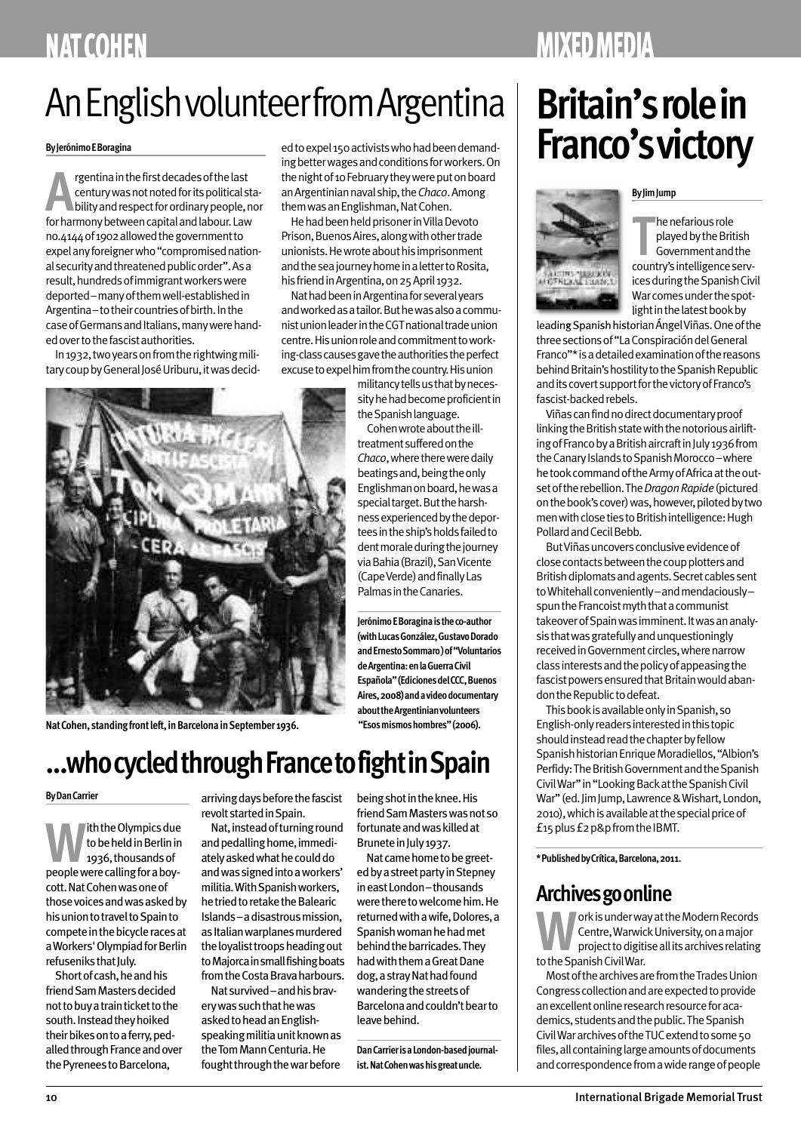## **NATCOHEN**

## **MIXEDMEDIA**

## AnEnglishvolunteerfromArgentina

#### **ByJerónimoEBoragina**

**A** *A* **e A century was not noted for its political st<br>
<b>A bility and respect for ordinary people, not<br>
for harmony between capital and labour. Law** rgentina in the first decades of the last century was not noted for its political stability and respect for ordinary people, nor no.4144of1902allowedthegovernmentto expel any foreigner who "compromised national security and threatened public order". As a result, hundreds of immigrant workers were deported–manyofthemwell-establishedin Argentina-to their countries of birth. In the case of Germans and Italians, many were handed over to the fascist authorities.

In1932,twoyearsonfromtherightwingmilitary coup by General José Uriburu, it was decided to expel 150 activists who had been demandingbetterwagesandconditionsforworkers.On the night of 10 February they were put on board anArgentiniannavalship,the*Chaco*.Among them was an Englishman, Nat Cohen.

He had been held prisoner in Villa Devoto Prison, Buenos Aires, along with other trade unionists.Hewroteabouthisimprisonment and the sea journey home in a letter to Rosita, his friend in Argentina, on 25 April 1932.

NathadbeeninArgentinaforseveralyears andworkedasatailor.ButhewasalsoacommunistunionleaderintheCGTnationaltradeunion centre. His union role and commitment to working-class causes gave the authorities the perfect excusetoexpelhimfromthecountry.Hisunion

> militancy tells us that by necessity he had become proficient in the Spanish language.

Cohen wrote about the illtreatment suffered on the *Chaco*, where there were daily beatings and, being the only Englishmanonboard,hewasa special target. But the harshness experienced by the deporteesintheship'sholdsfailedto dent morale during the journey viaBahia(Brazil),SanVicente (Cape Verde) and finally Las PalmasintheCanaries.

**JerónimoEBoraginaistheco-author (withLucasGonzález,GustavoDorado andErnestoSommaro)of"Voluntarios deArgentina:enlaGuerraCivil Española"(EdicionesdelCCC,Buenos Aires,2008)andavideodocumentary abouttheArgentinianvolunteers "Esosmismoshombres"(2006).**

## **…whocycledthroughFrancetofightinSpain**

#### **ByDanCarrier**

lith the Olympics due to be held in Berlin in 1936,thousandsof people were calling for a bovcott.NatCohenwasoneof those voices and was asked by his union to travel to Spain to compete in the bicycle races at a Workers' Olympiad for Berlin refuseniks that July.

**NatCohen,standingfrontleft,inBarcelonainSeptember1936.**

Short of cash, he and his friend Sam Masters decided not to buy a train ticket to the south. Instead they hoiked their bikes on to a ferry, pedalled through France and over the Pyrenees to Barcelona,

arriving days before the fascist revolt started in Spain.

Nat, instead of turning round and pedalling home, immediately asked what he could do andwassignedintoaworkers' militia. With Spanish workers, he tried to retake the Balearic Islands–adisastrousmission, as Italian warplanes murdered the loyalist troops heading out to Majorca in small fishing boats from the Costa Brava harbours.

Natsurvived–andhisbraverywassuchthathewas asked to head an Englishspeaking militia unit known as the Tom Mann Centuria. He fought through the war before

being shot in the knee. His friend Sam Masters was not so fortunate and was killed at Brunete in July 1937.

Nat came home to be greeted by a street party in Stepney ineastLondon–thousands were there to welcome him. He returned with a wife, Dolores, a Spanish woman he had met behind the barricades. They had with them a Great Dane dog, a stray Nat had found wandering the streets of Barcelona and couldn't bear to leave behind.

**Dan Carrier is a London-based journalist.NatCohenwashisgreatuncle.**

## **Franco'svictory**

**Britain'srolein**



The nefarious role<br>
played by the British<br>
Government and the<br>
country's intelligence serv-The nefarious role played by the British Governmentandthe ices during the Spanish Civil War comes under the spotlight in the latest book by

leadingSpanishhistorianÁngelViñas.Oneofthe three sections of "La Conspiración del General Franco"\*isadetailedexaminationofthereasons behind Britain's hostility to the Spanish Republic and its covert support for the victory of Franco's fascist-backed rebels.

Viñas can find no direct documentary proof linking the British state with the notorious airlifting of Franco by a British aircraft in July 1936 from the Canary Islands to Spanish Morocco-where hetookcommandoftheArmyofAfricaattheoutset of the rebellion. The *Dragon Rapide* (pictured on the book's cover) was, however, piloted by two men with close ties to British intelligence: Hugh Pollard and Cecil Bebb.

But Viñas uncovers conclusive evidence of close contacts between the coup plotters and British diplomats and agents. Secret cables sent to Whitehall conveniently-and mendaciouslyspun the Francoist myth that a communist takeover of Spain was imminent. It was an analysis that was gratefully and unquestioningly received in Government circles, where narrow class interests and the policy of appeasing the fascist powers ensured that Britain would abandon the Republic to defeat.

This book is available only in Spanish, so English-onlyreadersinterestedinthistopic should instead read the chapter by fellow SpanishhistorianEnriqueMoradiellos,"Albion's Perfidy: The British Government and the Spanish Civil War" in "Looking Back at the Spanish Civil War" (ed. Jim Jump, Lawrence & Wishart, London, 2010),whichisavailableatthespecialpriceof £15plus£2p&pfromtheIBMT.

**\*PublishedbyCrítica,Barcelona,2011.**

#### **Archivesgoonline**

**WWORK is under way at the Modern Records<br>
centre, Warwick University, on a major<br>
to the Spanish Civil War** Centre,WarwickUniversity,onamajor project to digitise all its archives relating to the Spanish Civil War.

MostofthearchivesarefromtheTradesUnion Congress collection and are expected to provide an excellent online research resource for academics, students and the public. The Spanish Civil War archives of the TUC extend to some 50 files, all containing large amounts of documents and correspondence from a wide range of people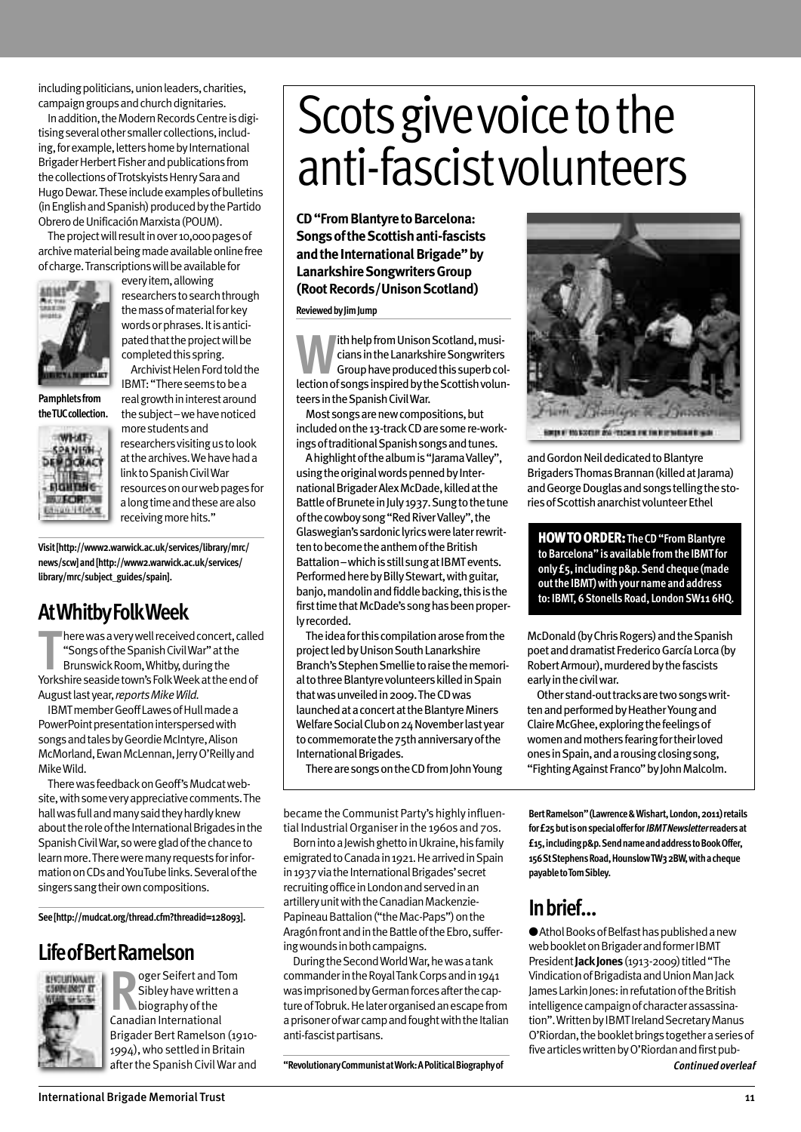including politicians, union leaders, charities, campaign groups and church dignitaries.

Inaddition,theModernRecordsCentreisdigitising several other smaller collections, including, for example, letters home by International Brigader Herbert Fisher and publications from the collections of Trotskyists Henry Sara and Hugo Dewar. These include examples of bulletins (in English and Spanish) produced by the Partido Obrero de Unificación Marxista (POUM).

The project will result in over 10,000 pages of archive material being made available online free of charge. Transcriptions will be available for



everyitem,allowing researcherstosearchthrough the mass of material for key words or phrases. It is anticipated that the project will be completed this spring. Archivist Helen Ford told the

IBMT: "There seems to be a realgrowthininterestaround

**Pamphletsfrom theTUCcollection.**



the subject-we have noticed morestudentsand researchers visiting us to look at the archives. We have had a link to Spanish Civil War resources on our web pages for a long time and these are also receiving more hits."

**Visit[http://www2.warwick.ac.uk/services/library/mrc/ news/scw]and[http://www2.warwick.ac.uk/services/ library/mrc/subject\_guides/spain].**

### **AtWhitbyFolkWeek**

There was a very well received concert, calle<br>
"Songs of the Spanish Civil War" at the<br>
Brunswick Room, Whitby, during the<br>
Yorkshire seaside town's Folk Week at the end of here was a very well received concert, called "SongsoftheSpanishCivilWar"atthe BrunswickRoom,Whitby,duringthe Augustlastyear,*reportsMikeWild.*

IBMTmemberGeoffLawesofHullmadea PowerPoint presentation interspersed with songs and tales by Geordie McIntyre, Alison McMorland,EwanMcLennan,JerryO'Reillyand MikeWild.

There was feedback on Geoff's Mudcat website, with some very appreciative comments. The hall was full and many said they hardly knew about the role of the International Brigades in the Spanish Civil War, so were glad of the chance to learn more. There were many requests for information on CDs and YouTube links. Several of the singers sang their own compositions.

**See[http://mudcat.org/thread.cfm?threadid=128093].**

### **LifeofBertRamelson**



**R**Sibley have writte<br>
biography of the<br>
Canadian International oger Seifert and Tom Sibley have written a  $\bigcup$  biography of the Brigader Bert Ramelson (1910-1994), who settled in Britain after the Spanish Civil War and

## Scots give voice to the anti-fascistvolunteers

**CD"FromBlantyretoBarcelona: SongsoftheScottishanti-fascists** and the International Brigade" by **LanarkshireSongwritersGroup (RootRecords/UnisonScotland)**

**ReviewedbyJimJump**

**With help from Unison Scotland, musicians in the Lanarkshire Songwriters<br>Group have produced this superb collection of songs inspired by the Scottish volun**cians in the Lanarkshire Songwriters Group have produced this superb colteersintheSpanishCivilWar.

Most songs are new compositions, but included on the 13-track CD are some re-workings of traditional Spanish songs and tunes.

Ahighlight of the album is "Jarama Valley", using the original words penned by International Brigader Alex McDade, killed at the Battle of Brunete in July 1937. Sung to the tune of the cowboy song "Red River Valley", the Glaswegian'ssardoniclyricswerelaterrewritten to become the anthem of the British Battalion-which is still sung at IBMT events. Performed here by Billy Stewart, with guitar, banjo, mandolin and fiddle backing, this is the first time that McDade's song has been properlyrecorded.

The idea for this compilation arose from the project led by Unison South Lanarkshire Branch's Stephen Smellie to raise the memorial to three Blantyre volunteers killed in Spain that was unveiled in 2009. The CD was launched at a concert at the Blantyre Miners Welfare Social Club on 24 November last year to commemorate the 75th anniversary of the InternationalBrigades.

There are songs on the CD from John Young

became the Communist Party's highly influential Industrial Organiser in the 1960s and 70s.

Born into a Jewish ghetto in Ukraine, his family emigrated to Canada in 1921. He arrived in Spain in 1937 via the International Brigades' secret recruitingofficeinLondonandservedinan artilleryunitwiththeCanadianMackenzie-Papineau Battalion ("the Mac-Paps") on the Aragón front and in the Battle of the Ebro, suffering wounds in both campaigns.

During the Second World War, he was a tank commander in the Royal Tank Corps and in 1941 was imprisoned by German forces after the capture of Tobruk. He later organised an escape from a prisoner of war camp and fought with the Italian anti-fascist partisans.

**"RevolutionaryCommunistatWork:APoliticalBiographyof**



and Gordon Neil dedicated to Blantyre Brigaders Thomas Brannan (killed at Jarama) and George Douglas and songs telling the stories of Scottish anarchist volunteer Ethel

**HOWTO ORDER:** The CD "From Blantyre **toBarcelona" is available fromthe IBMT for only£5,includingp&p.Send cheque (made outthe IBMT)withyourname and address to:IBMT,6StonellsRoad, LondonSW116HQ.**

McDonald (by Chris Rogers) and the Spanish poet and dramatist Frederico García Lorca (by Robert Armour), murdered by the fascists early in the civil war.

Other stand-out tracks are two songs written and performed by Heather Young and Claire McGhee, exploring the feelings of women and mothers fearing for their loved ones in Spain, and a rousing closing song, "Fighting Against Franco" by John Malcolm.

**BertRamelson"(Lawrence&Wishart,London,2011)retails for£25butisonspecialofferforIBMTNewsletterreadersat £15,includingp&p.SendnameandaddresstoBookOffer, 156StStephensRoad,HounslowTW32BW,withacheque payabletoTomSibley.**

### **Inbrief…**

● Athol Books of Belfast has published a new web booklet on Brigader and former IBMT President Jack Jones (1913-2009) titled "The VindicationofBrigadistaandUnionManJack James Larkin Jones: in refutation of the British intelligence campaign of character assassination". Written by IBMT Ireland Secretary Manus O'Riordan, the booklet brings together a series of five articles written by O'Riordan and first pub-

**Continued overleaf**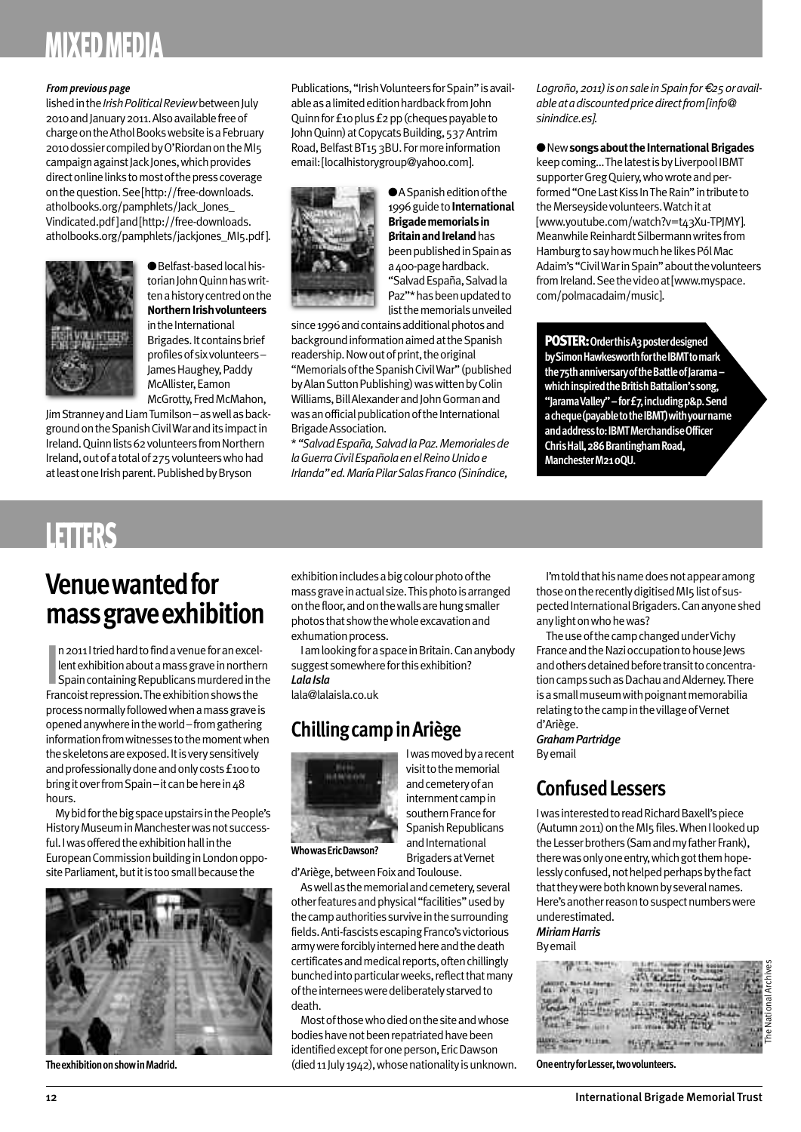## **MIXEDMEDIA**

#### **Fromprevious page**

lished in the *Irish Political Review* between July 2010 and January 2011. Also available free of charge on the Athol Books website is a February 2010dossiercompiledbyO'RiordanontheMI5 campaign against lack lones, which provides direct online links to most of the press coverage onthequestion.See[http://free-downloads. atholbooks.org/pamphlets/Jack\_Jones\_ Vindicated.pdf]and[http://free-downloads. atholbooks.org/pamphlets/jackjones\_MI5.pdf].



**●**Belfast-basedlocalhistorian John Quinn has written a history centred on the **Northern Irish volunteers** in the International Brigades. It contains brief profiles of six volunteers-James Haughey, Paddy McAllister, Eamon McGrotty, Fred McMahon,

JimStranneyandLiamTumilson–aswellasbackgroundontheSpanishCivilWaranditsimpactin Ireland. Quinn lists 62 volunteers from Northern Ireland, out of a total of 275 volunteers who had at least one Irish parent. Published by Bryson

Publications, "Irish Volunteers for Spain" is available as a limited edition hardback from John Quinn for £10 plus £2 pp (cheques payable to JohnQuinn)atCopycatsBuilding,537Antrim Road, Belfast BT15 3BU. For more information email:[localhistorygroup@yahoo.com].



**●**ASpanisheditionofthe 1996 guide to **International Brigadememorialsin Britain and Ireland** has been published in Spain as a 400-page hardback. "SalvadEspaña,Salvadla Paz"\* has been updated to listthememorialsunveiled

since 1996 and contains additional photos and backgroundinformationaimedattheSpanish readership. Now out of print, the original "MemorialsoftheSpanishCivilWar"(published by Alan Sutton Publishing) was witten by Colin Williams, Bill Alexander and John Gorman and was an official publication of the International BrigadeAssociation.

\**"SalvadEspaña,SalvadlaPaz.Memorialesde laGuerraCivilEspañolaenelReinoUnidoe Irlanda"ed.MaríaPilarSalasFranco(Siníndice,*

*Logroño,2011)isonsaleinSpainfor€25oravailableatadiscountedpricedirectfrom[info@ sinindice.es].*

 $\bullet$  New songs about the International Brigades keep coming... The latest is by Liverpool IBMT supporter Greg Quiery, who wrote and performed "One Last Kiss In The Rain" in tribute to the Merseyside volunteers. Watch it at [www.youtube.com/watch?v=t43Xu-TPJMY]. Meanwhile Reinhardt Silbermann writes from HamburgtosayhowmuchhelikesPólMac Adaim's "Civil War in Spain" about the volunteers from Ireland. See the video at [www.myspace. com/polmacadaim/music].

**POSTER:** OrderthisA3 poster designed<br>by Simon Hawkesworth for the IBMT to mark<br>the 75th anniversary of the Battle of Jarama-<br>which inspired the British Battalion's song,<br>"Jarama Valley" – for £7, including p&p. Send<br>a che by Simon Hawkesworth for the IBMT to mark **the75thanniversaryoftheBattleofJarama– whichinspiredtheBritishBattalion'ssong, "JaramaValley"–for£7,includingp&p.Send acheque(payabletotheIBMT)withyourname andaddressto:IBMTMerchandiseOfficer ChrisHall,286BrantinghamRoad, ManchesterM210QU.**

## **LETTERS**

## **Venue wanted for massgraveexhibition**

In 2011 I tried hard to find a venue for an excellent exhibition about a mass grave in norther<br>Spain containing Republicans murdered in the<br>Francoist repression. The exhibition shows the lent exhibition about a mass grave in northern Spain containing Republicans murdered in the Francoist repression. The exhibition shows the processnormallyfollowedwhenamassgraveis opened anywhere in the world–from gathering information from witnesses to the moment when the skeletons are exposed. It is very sensitively and professionally done and only costs £100 to bring it over from Spain-it can be here in 48 hours.

My bid for the big space upstairs in the People's History Museum in Manchester was not successful. I was offered the exhibition hall in the European Commission building in London opposite Parliament, but it is too small because the



exhibition includes a big colour photo of the mass grave in actual size. This photo is arranged onthefloor,andonthewallsarehungsmaller photos that show the whole excavation and exhumation process.

I am looking for a space in Britain. Can anybody suggest somewhere for this exhibition? *LalaIsla* lala@lalaisla.co.uk

#### **ChillingcampinAriège**



I was moved by a recent visit to the memorial and cemetery of an internment camp in southern France for Spanish Republicans and International BrigadersatVernet

d'Ariège, between Foix and Toulouse.

As well as the memorial and cemetery, several other features and physical "facilities" used by the camp authorities survive in the surrounding fields. Anti-fascists escaping Franco's victorious army were forcibly interned here and the death certificates and medical reports, often chillingly bunched into particular weeks, reflect that many of the internees were deliberately starved to death.

Mostofthosewhodiedonthesiteandwhose bodies have not been repatriated have been identified except for one person, Eric Dawson (died11July1942),whosenationalityisunknown. **TheexhibitiononshowinMadrid. OneentryforLesser,twovolunteers.**

I'm told that his name does not appear among those on the recently digitised MI5 list of suspected International Brigaders. Can anyone shed any light on who he was?

The use of the camp changed under Vichy France and the Nazi occupation to house Jews and others detained before transit to concentration camps such as Dachau and Alderney. There is a small museum with poignant memorabilia relating to the camp in the village of Vernet d'Ariège.

*GrahamPartridge* **By** email

#### **ConfusedLessers**

I was interested to read Richard Baxell's piece (Autumn 2011) on the MI5 files. When I looked up the Lesser brothers (Sam and my father Frank), there was only one entry, which got them hopelessly confused, not helped perhaps by the fact that they were both known by several names. Here's another reason to suspect numbers were underestimated.

*MiriamHarris*

Byemail

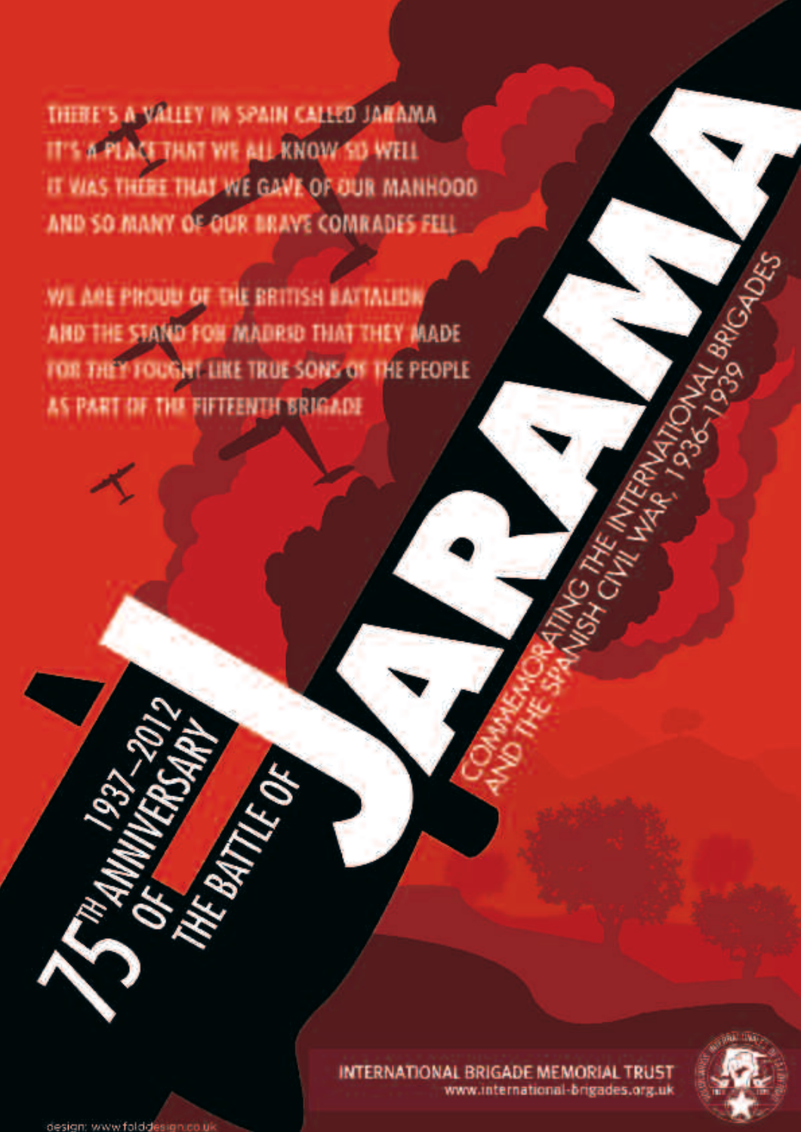THERE'S A VALLEY IN SPAIN CALLED JANAMA **IT'S A PLACE THAT WE ALL KNOW SD WELL** IT WAS THERE THAT WE GAVE OF OUR MANHOOD AND SO MANY OF OUR BRAVE COMRADES FELL

WE ARE PROUD OF THE BRITISH BATTALION AND THE STAND FON MADRID THAT THEY MADE **TOR THEY FOUGHT LIKE TRUE SONS OF THE PEOPLE** AS PART OF THE FIFTEENTH BRIGADE

FOF



INTERNATIONAL BRIGADE MEMORIAL TRUST www.international-brigades.org.uk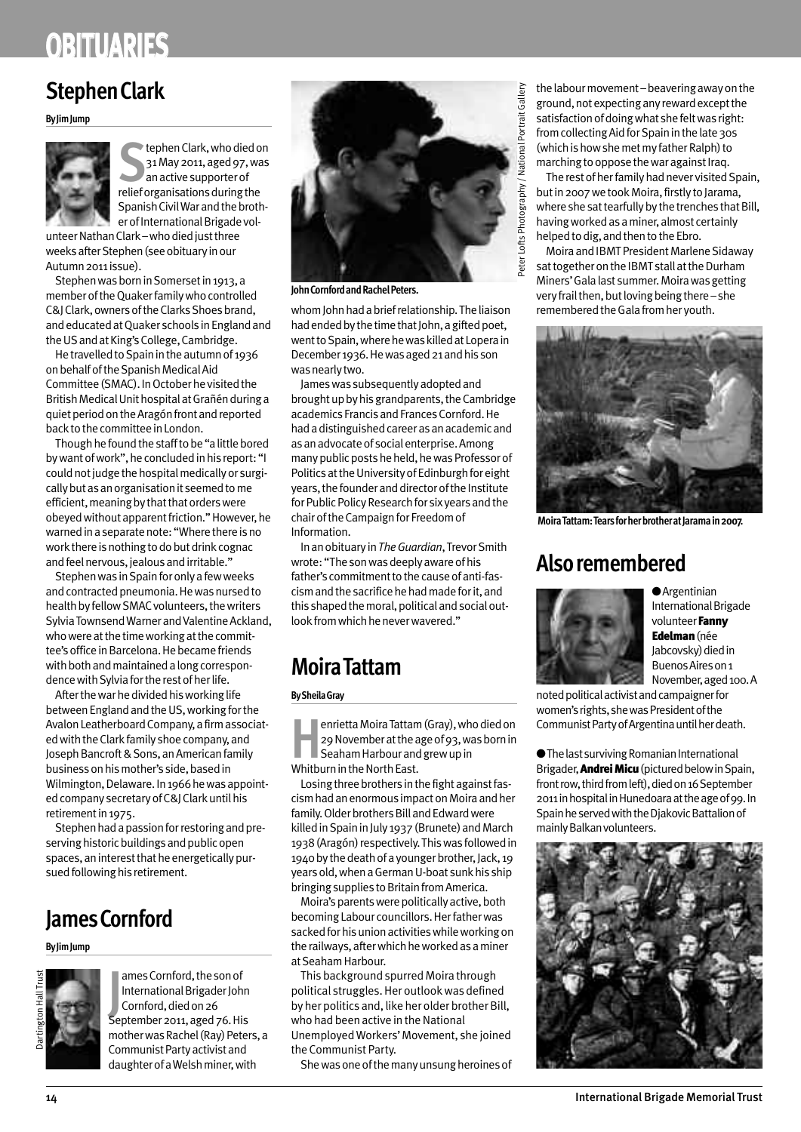## **OBITUARIES**

### **StephenClark**

**ByJimJump**



**S** relieforganisationsduringthe tephenClark,whodiedon 31 May 2011, aged 97, was  $^\prime$  an active supporter of Spanish Civil War and the brother of International Brigade vol-

unteer Nathan Clark – who died just three weeks after Stephen (see obituary in our Autumn 2011 issue).

Stephen was born in Somerset in 1913, a member of the Quaker family who controlled C&I Clark, owners of the Clarks Shoes brand, and educated at Quaker schools in England and the US and at King's College, Cambridge.

He travelled to Spain in the autumn of 1936 on behalf of the Spanish Medical Aid Committee (SMAC). In October he visited the British Medical Unit hospital at Grañén during a quiet period on the Aragón front and reported back to the committee in London.

Though he found the staff to be "a little bored by want of work", he concluded in his report: "I could not judge the hospital medically or surgically but as an organisation it seemed to me efficient, meaning by that that orders were obeyed without apparent friction." However, he warned in a separate note: "Where there is no work there is nothing to do but drink cognac and feel nervous, jealous and irritable."

Stephen was in Spain for only a few weeks and contracted pneumonia. He was nursed to health by fellow SMAC volunteers, the writers Sylvia Townsend Warner and Valentine Ackland, who were at the time working at the committee's office in Barcelona. He became friends with both and maintained a long correspondence with Sylvia for the rest of her life.

After the war he divided his working life between England and the US, working for the Avalon Leatherboard Company, a firm associated with the Clark family shoe company, and Joseph Bancroft & Sons, an American family business on his mother's side, based in Wilmington, Delaware. In 1966 he was appointed company secretary of C&J Clark until his retirement in 1975.

Stephen had a passion for restoring and preserving historic buildings and public open spaces, an interest that he energetically pursued following his retirement.

### **JamesCornford**

#### **ByJimJump**



ames Cornford, the son of<br>
International Brigader John<br>
Cornford, died on 26<br>
September 2011. aged 76. His ames Cornford, the son of International Brigader John Cornford, died on 26 mother was Rachel (Ray) Peters, a Communist Party activist and daughterofaWelshminer,with



**John Cornford and Rachel Peters.** 

whom John had a brief relationship. The liaison had ended by the time that John, a gifted poet, went to Spain, where he was killed at Lopera in December 1936. He was aged 21 and his son was nearly two.

Jameswas subsequentlyadoptedand brought up by his grandparents, the Cambridge academics Francis and Frances Cornford. He had a distinguished career as an academic and as an advocate of social enterprise. Among many public posts he held, he was Professor of Politics at the University of Edinburgh for eight years, the founder and director of the Institute for Public Policy Research for six years and the chair of the Campaign for Freedom of Information.

In an obituary in *The Guardian*, Trevor Smith wrote: "The son was deeply aware of his father's commitment to the cause of anti-fascism and the sacrifice he had made for it, and this shaped the moral, political and social outlook from which he never wavered."

### **MoiraTattam**

#### **BySheilaGray**

**H**enriettaMoiraTattam(Gray),whodiedon 29Novemberattheageof93,wasbornin SeahamHarbourandgrewupin Whitburn in the North East.

Losing three brothers in the fight against fascismhadanenormous impactonMoiraandher family. Older brothers Bill and Edward were killed in Spain in July 1937 (Brunete) and March 1938 (Aragón) respectively. This was followed in 1940 by the death of a younger brother, Jack, 19 years old, when a German U-boat sunk his ship bringing supplies to Britain from America.

Moira's parents were politically active, both becoming Labour councillors. Her father was sacked for his union activities while working on the railways, after which he worked as a miner at Seaham Harbour.

This background spurred Moira through political struggles.Her outlookwas defined by her politics and, like her older brother Bill, who had been active in the National UnemployedWorkers'Movement, she joined the Communist Party.

She was one of the many unsung heroines of

the labour movement–beavering away on the ground, not expecting any reward except the satisfaction of doing what she felt was right: from collecting Aid for Spain in the late 30s (which is how she met my father Ralph) to marching to oppose the war against Iraq.

The rest of her family had never visited Spain, but in 2007 we took Moira, firstly to Jarama, where she sat tearfully by the trenches that Bill, havingworkedasaminer,almost certainly helped to dig, and then to the Ebro.

Moira and IBMT President Marlene Sidaway sat together on the IBMT stall at the Durham Miners'Galalast summer.Moirawasgetting very frail then, but loving being there–she remembered the Gala from her youth.



**MoiraTattam:TearsforherbrotheratJaramain2007.**

#### **Alsoremembered**



**●**Argentinian InternationalBrigade volunteer**Fanny Edelman**(née Jabcovsky) died in BuenosAireson1 November, aged 100. A

noted political activist and campaigner for women's rights, she was President of the Communist Party of Argentina until her death.

**• The last surviving Romanian International** Brigader, **Andrei Micu** (pictured below in Spain, front row, third from left), died on 16 September 2011inhospitalinHunedoaraattheageof99.In Spain he served with the Djakovic Battalion of mainly Balkan volunteers.

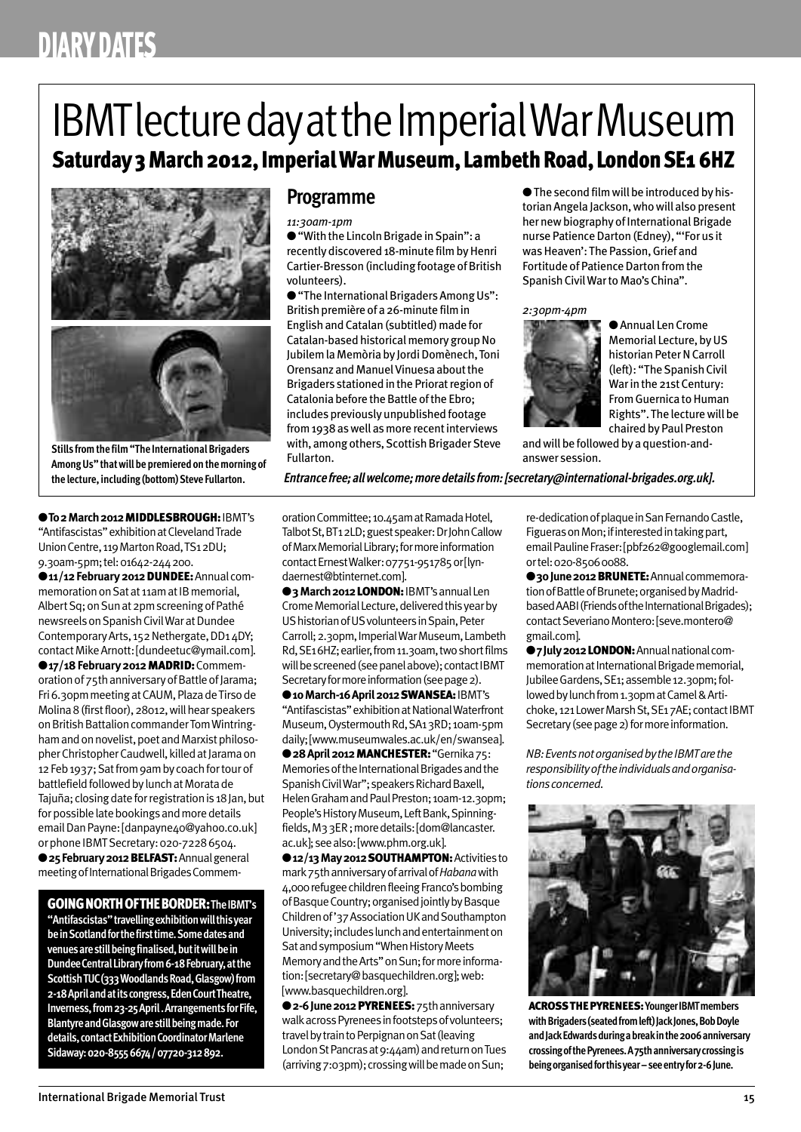## **DIARYDATES**

## IBMT lecture day at the Imperial War Museum **Saturday3March2012,ImperialWarMuseum, LambethRoad, LondonSE16HZ**





**Stills fromthe film"The InternationalBrigaders AmongUs" thatwillbe premiered onthemorning of the lecture, including (bottom) Steve Fullarton.** 

#### **Programme**

*11:30am-1pm*

● "With the Lincoln Brigade in Spain": a recently discovered 18-minute film by Henri Cartier-Bresson (including footage of British volunteers).

● "The International Brigaders Among Us": British première of a 26-minute film in EnglishandCatalan (subtitled)made for Catalan-based historical memory group No Jubilem la Memòria by Jordi Domènech, Toni Orensanz and Manuel Vinuesa about the Brigaders stationed in the Priorat region of Catalonia before the Battle of the Ebro; includes previously unpublished footage from1938aswell asmore recentinterviews with, among others, Scottish Brigader Steve Fullarton.

**• The second film will be introduced by his**torian Angela Jackson, who will also present her new biography of International Brigade nurse Patience Darton (Edney), "'For us it was Heaven': The Passion, Grief and Fortitude of Patience Darton from the Spanish Civil War to Mao's China".

*2:30pm-4pm*



**●**Annual LenCrome Memorial Lecture, by US historian Peter N Carroll (left): "The Spanish Civil War in the 21st Century: From Guernica to Human Rights". The lecture will be chaired by Paul Preston

and will be followed by a question-andanswer session.

**Entrancefree;allwelcome;moredetailsfrom:[secretary@international-brigades.org.uk].**

**●To2March2012MIDDLESBROUGH:**IBMT's "Antifascistas"exhibitionatClevelandTrade Union Centre, 119 Marton Road, TS1 2DU; 9.30am-5pm; tel: 01642-244 200.

**●11/12February2012DUNDEE:**Annual commemoration on Sat at 11am at IB memorial, Albert Sq; on Sun at 2pm screening of Pathé newsreels on Spanish Civil War at Dundee Contemporary Arts, 152 Nethergate, DD14DY; contact Mike Arnott: [dundeetuc@ymail.com]. **●17/18February2012MADRID:**Commemoration of  $75th$  anniversary of Battle of Jarama; Fri6.30pmmeetingatCAUM,PlazadeTirsode Molina 8 (first floor), 28012, will hear speakers on British Battalion commander Tom Wintringham and on novelist, poet and Marxist philosopher Christopher Caudwell, killed at Jarama on 12 Feb 1937; Sat from 9am by coach for tour of battlefield followed by lunch at Morata de Tajuña; closing date for registration is 18 Jan, but for possible late bookings and more details emailDanPayne:[danpayne40@yahoo.co.uk] orphoneIBMTSecretary: 020-72286504. **●25February2012BELFAST:**Annualgeneral meeting of International Brigades Commem-

**GOINGNORTHOFTHEBORDER:TheIBMT's "Antifascistas"travellingexhibitionwillthisyear beinScotlandforthefirsttime.Somedatesand venuesarestillbeingfinalised,butitwillbein DundeeCentralLibraryfrom6-18February,atthe ScottishTUC(333WoodlandsRoad,Glasgow)from 2-18Aprilandatitscongress,EdenCourtTheatre, Inverness,from23-25April.ArrangementsforFife, BlantyreandGlasgowarestillbeingmade.For details,contactExhibitionCoordinatorMarlene Sidaway:020-85556674/07720-312892.**

oration Committee; 10.45am at Ramada Hotel, Talbot St, BT12LD; guest speaker: Dr John Callow of Marx Memorial Library; for more information contactErnestWalker:07751-951785or[lyndaernest@btinternet.com].

**●3March2012LONDON:**IBMT'sannualLen Crome Memorial Lecture, delivered this year by US historian of US volunteers in Spain, Peter Carroll;2.30pm,ImperialWarMuseum,Lambeth Rd, SE16HZ; earlier, from 11.30am, two short films will be screened (see panel above); contact IBMT Secretary for more information (see page 2). **●10March-16April2012SWANSEA:**IBMT's "Antifascistas" exhibition at National Waterfront Museum,OystermouthRd,SA13RD;10am-5pm daily;[www.museumwales.ac.uk/en/swansea]. **●28April2012MANCHESTER:**"Gernika75: Memories of the International Brigades and the Spanish Civil War"; speakers Richard Baxell, Helen Graham and Paul Preston; 10am-12.30pm; People's History Museum, Left Bank, Spinningfields,M33ER;moredetails:[dom@lancaster. ac.uk]; see also: [www.phm.org.uk].

**●12/13May2012SOUTHAMPTON:**Activitiesto mark75thanniversaryofarrivalof*Habana*with 4,000 refugee children fleeing Franco's bombing of Basque Country; organised jointly by Basque Childrenof'37AssociationUKandSouthampton University; includes lunch and entertainment on Sat and symposium "When History Meets Memory and the Arts" on Sun; for more information:[secretary@basquechildren.org];web: [www.basquechildren.org].

**●2-6June2012PYRENEES:**75thanniversary walk across Pyrenees in footsteps of volunteers; travel by train to Perpignan on Sat (leaving London St Pancras at 9:44am) and return on Tues (arriving7:03pm);crossingwillbemadeonSun;

re-dedication of plaque in San Fernando Castle, Figueras on Mon; if interested in taking part, email Pauline Fraser: [pbf262@googlemail.com] ortel:020-85060088.

**●30June2012BRUNETE:**Annualcommemoration of Battle of Brunete; organised by Madridbased AABI (Friends of the International Brigades); contact Severiano Montero: [seve.montero@ gmail.com].

**●7July2012LONDON:**Annualnationalcommemoration at International Brigade memorial, Jubilee Gardens, SE1; assemble 12.30pm; followed by lunch from 1.30pm at Camel & Artichoke, 121 Lower Marsh St, SE17AE; contact IBMT Secretary (see page 2) for more information.

*NB:EventsnotorganisedbytheIBMTarethe responsibilityoftheindividualsandorganisationsconcerned.*



**ACROSSTHEPYRENEES:YoungerIBMTmembers** with Brigaders (seated from left) Jack Jones, Bob Doyle **andJackEdwardsduringabreakinthe2006anniversary crossingofthePyrenees.A75thanniversarycrossingis beingorganisedforthisyear–seeentryfor2-6June.**